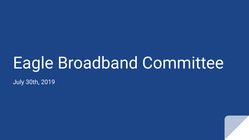# Eagle Broadband Committee

July 30th, 2019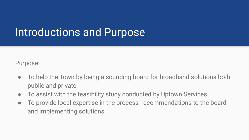### Introductions and Purpose

Purpose:

- To help the Town by being a sounding board for broadband solutions both public and private
- To assist with the feasibility study conducted by Uptown Services
- To provide local expertise in the process, recommendations to the board and implementing solutions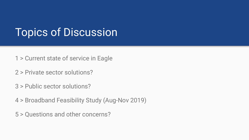### Topics of Discussion

1 > Current state of service in Eagle

2 > Private sector solutions?

3 > Public sector solutions?

4 > Broadband Feasibility Study (Aug-Nov 2019)

5 > Questions and other concerns?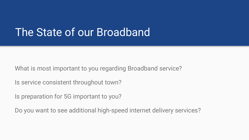### The State of our Broadband

What is most important to you regarding Broadband service?

Is service consistent throughout town?

Is preparation for 5G important to you?

Do you want to see additional high-speed internet delivery services?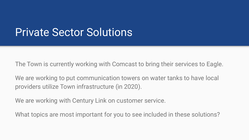### Private Sector Solutions

The Town is currently working with Comcast to bring their services to Eagle.

We are working to put communication towers on water tanks to have local providers utilize Town infrastructure (in 2020).

We are working with Century Link on customer service.

What topics are most important for you to see included in these solutions?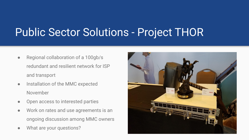## Public Sector Solutions - Project THOR

- Regional collaboration of a 100gb/s redundant and resilient network for ISP and transport
- Installation of the MMC expected November
- Open access to interested parties
- Work on rates and use agreements is an ongoing discussion among MMC owners
- What are your questions?

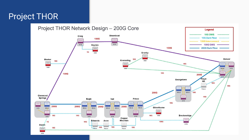#### Project THOR

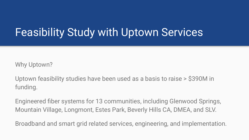### Feasibility Study with Uptown Services

Why Uptown?

Uptown feasibility studies have been used as a basis to raise > \$390M in funding.

Engineered fiber systems for 13 communities, including Glenwood Springs, Mountain Village, Longmont, Estes Park, Beverly Hills CA, DMEA, and SLV.

Broadband and smart grid related services, engineering, and implementation.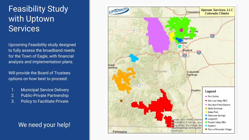### Feasibility Study with Uptown **Services**

Upcoming Feasibility study designed to fully assess the broadband needs for the Town of Eagle, with financial analysis and implementation plans.

Will provide the Board of Trustees options on how best to proceed:

- 1. Municipal Service Delivery
- 2. Public-Private Partnership
- 3. Policy to Facilitate Private

#### We need your help!

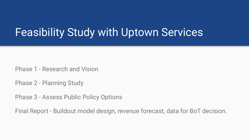### Feasibility Study with Uptown Services

Phase 1 - Research and Vision

Phase 2 - Planning Study

Phase 3 - Assess Public Policy Options

Final Report - Buildout model design, revenue forecast, data for BoT decision.